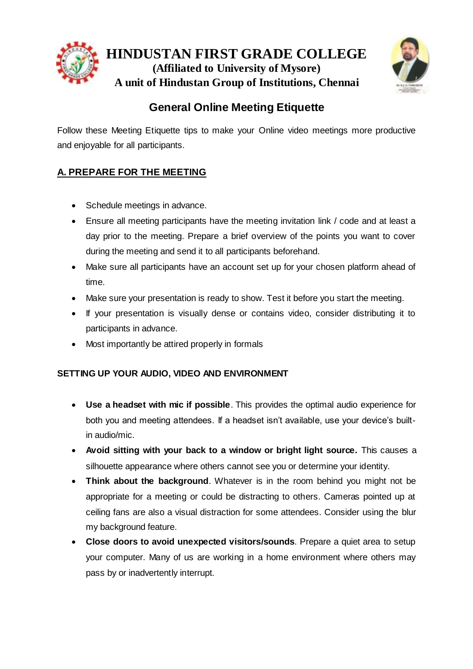



# **General Online Meeting Etiquette**

Follow these Meeting Etiquette tips to make your Online video meetings more productive and enjoyable for all participants.

# **A. PREPARE FOR THE MEETING**

- Schedule meetings in advance.
- Ensure all meeting participants have the meeting invitation link / code and at least a day prior to the meeting. Prepare a brief overview of the points you want to cover during the meeting and send it to all participants beforehand.
- Make sure all participants have an account set up for your chosen platform ahead of time.
- Make sure your presentation is ready to show. Test it before you start the meeting.
- If your presentation is visually dense or contains video, consider distributing it to participants in advance.
- Most importantly be attired properly in formals

## **SETTING UP YOUR AUDIO, VIDEO AND ENVIRONMENT**

- **Use a headset with mic if possible**. This provides the optimal audio experience for both you and meeting attendees. If a headset isn't available, use your device's builtin audio/mic.
- **Avoid sitting with your back to a window or bright light source.** This causes a silhouette appearance where others cannot see you or determine your identity.
- **Think about the background**. Whatever is in the room behind you might not be appropriate for a meeting or could be distracting to others. Cameras pointed up at ceiling fans are also a visual distraction for some attendees. Consider using the blur my background feature.
- **Close doors to avoid unexpected visitors/sounds**. Prepare a quiet area to setup your computer. Many of us are working in a home environment where others may pass by or inadvertently interrupt.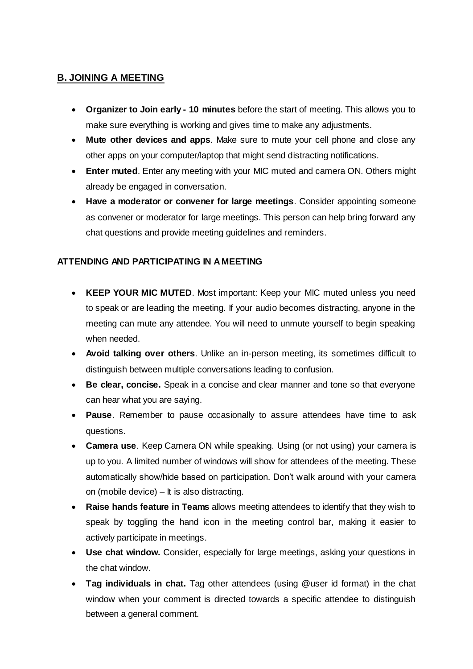#### **B. JOINING A MEETING**

- **Organizer to Join early - 10 minutes** before the start of meeting. This allows you to make sure everything is working and gives time to make any adjustments.
- **Mute other devices and apps**. Make sure to mute your cell phone and close any other apps on your computer/laptop that might send distracting notifications.
- **Enter muted**. Enter any meeting with your MIC muted and camera ON. Others might already be engaged in conversation.
- **Have a moderator or convener for large meetings**. Consider appointing someone as convener or moderator for large meetings. This person can help bring forward any chat questions and provide meeting guidelines and reminders.

#### **ATTENDING AND PARTICIPATING IN A MEETING**

- **KEEP YOUR MIC MUTED**. Most important: Keep your MIC muted unless you need to speak or are leading the meeting. If your audio becomes distracting, anyone in the meeting can mute any attendee. You will need to unmute yourself to begin speaking when needed.
- **Avoid talking over others**. Unlike an in-person meeting, its sometimes difficult to distinguish between multiple conversations leading to confusion.
- **Be clear, concise.** Speak in a concise and clear manner and tone so that everyone can hear what you are saying.
- **Pause**. Remember to pause occasionally to assure attendees have time to ask questions.
- **Camera use**. Keep Camera ON while speaking. Using (or not using) your camera is up to you. A limited number of windows will show for attendees of the meeting. These automatically show/hide based on participation. Don't walk around with your camera on (mobile device) – It is also distracting.
- **Raise hands feature in Teams** allows meeting attendees to identify that they wish to speak by toggling the hand icon in the meeting control bar, making it easier to actively participate in meetings.
- **Use chat window.** Consider, especially for large meetings, asking your questions in the chat window.
- **Tag individuals in chat.** Tag other attendees (using @user id format) in the chat window when your comment is directed towards a specific attendee to distinguish between a general comment.